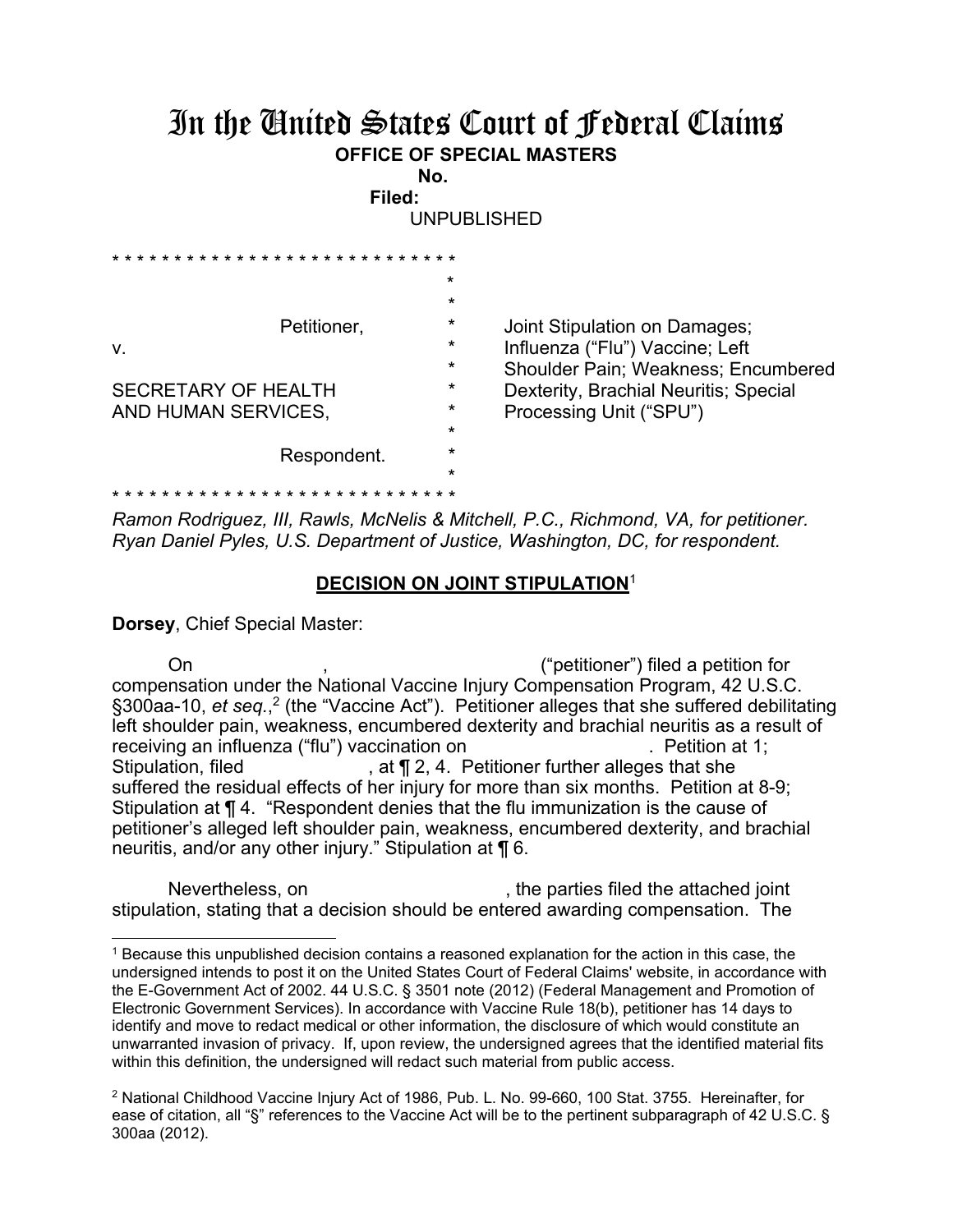## In the United States Court of Federal Claims **OFFICE OF SPECIAL MASTERS**

**No. Filed:** 

UNPUBLISHED

|                            | $\star$ |                                       |
|----------------------------|---------|---------------------------------------|
|                            | $\star$ |                                       |
| Petitioner,                | $\star$ | Joint Stipulation on Damages;         |
| V.                         | $\star$ | Influenza ("Flu") Vaccine; Left       |
|                            | $\star$ | Shoulder Pain; Weakness; Encumbered   |
| <b>SECRETARY OF HEALTH</b> | $\star$ | Dexterity, Brachial Neuritis; Special |
| AND HUMAN SERVICES,        | $\star$ | Processing Unit ("SPU")               |
|                            | $\star$ |                                       |
| Respondent.                | $\star$ |                                       |
|                            | $\star$ |                                       |
|                            |         |                                       |

*Ramon Rodriguez, III, Rawls, McNelis & Mitchell, P.C., Richmond, VA, for petitioner. Ryan Daniel Pyles, U.S. Department of Justice, Washington, DC, for respondent.* 

## **DECISION ON JOINT STIPULATION**<sup>1</sup>

**Dorsey**, Chief Special Master:

 $\overline{a}$ 

 On , ("petitioner") filed a petition for compensation under the National Vaccine Injury Compensation Program, 42 U.S.C. §300aa-10, et seq.,<sup>2</sup> (the "Vaccine Act"). Petitioner alleges that she suffered debilitating left shoulder pain, weakness, encumbered dexterity and brachial neuritis as a result of receiving an influenza ("flu") vaccination on . Petition at 1; Stipulation, filed **Stipulation**, filed **, at f** 2, 4. Petitioner further alleges that she suffered the residual effects of her injury for more than six months. Petition at 8-9; Stipulation at ¶ 4. "Respondent denies that the flu immunization is the cause of petitioner's alleged left shoulder pain, weakness, encumbered dexterity, and brachial neuritis, and/or any other injury." Stipulation at ¶ 6.

Nevertheless, on  $\blacksquare$ , the parties filed the attached joint stipulation, stating that a decision should be entered awarding compensation. The

<sup>1</sup> Because this unpublished decision contains a reasoned explanation for the action in this case, the undersigned intends to post it on the United States Court of Federal Claims' website, in accordance with the E-Government Act of 2002. 44 U.S.C. § 3501 note (2012) (Federal Management and Promotion of Electronic Government Services). In accordance with Vaccine Rule 18(b), petitioner has 14 days to identify and move to redact medical or other information, the disclosure of which would constitute an unwarranted invasion of privacy. If, upon review, the undersigned agrees that the identified material fits within this definition, the undersigned will redact such material from public access.

<sup>2</sup> National Childhood Vaccine Injury Act of 1986, Pub. L. No. 99-660, 100 Stat. 3755. Hereinafter, for ease of citation, all "§" references to the Vaccine Act will be to the pertinent subparagraph of 42 U.S.C. § 300aa (2012).